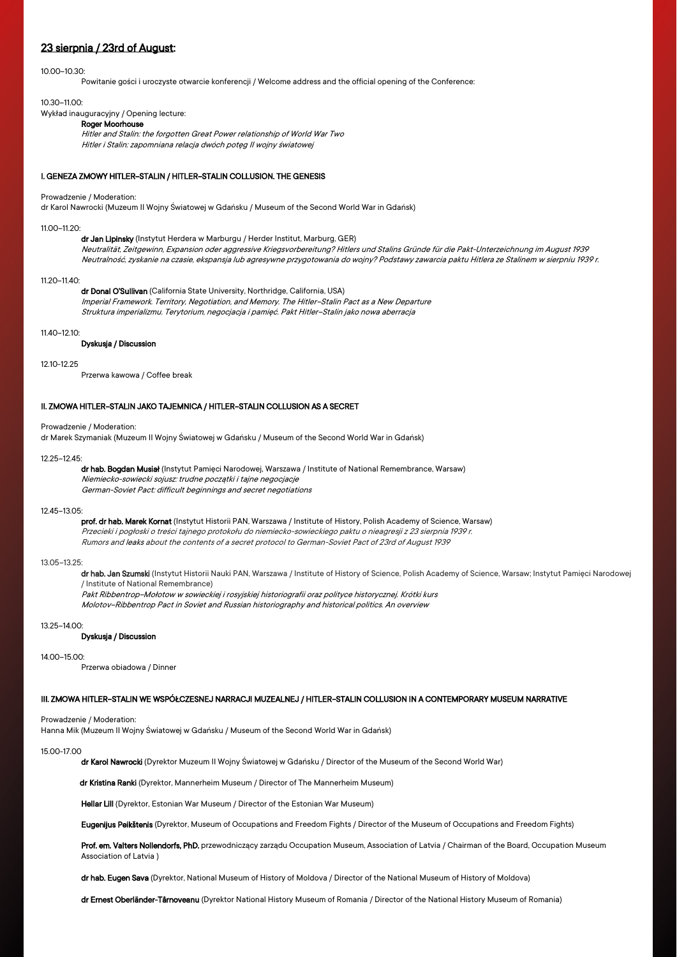## 23 sierpnia / 23rd of August:

## 10.00–10.30:

Powitanie gości i uroczyste otwarcie konferencji / Welcome address and the official opening of the Conference:

### 10.30–11.00:

Wykład inauguracyjny / Opening lecture:

## Roger Moorhouse

Hitler and Stalin: the forgotten Great Power relationship of World War Two Hitler i Stalin: zapomniana relacja dwóch potęg II wojny światowej

## I. GENEZA ZMOWY HITLER–STALIN / HITLER–STALIN COLLUSION. THE GENESIS

### Prowadzenie / Moderation:

dr Karol Nawrocki (Muzeum II Wojny Światowej w Gdańsku / Museum of the Second World War in Gdańsk)

#### $11.00 - 11.20$

dr Jan Lipinsky (Instytut Herdera w Marburgu / Herder Institut, Marburg, GER) Neutralität, Zeitgewinn, Expansion oder aggressive Kriegsvorbereitung? Hitlers und Stalins Gründe für die Pakt-Unterzeichnung im August 1939 Neutralność, zyskanie na czasie, ekspansja lub agresywne przygotowania do wojny? Podstawy zawarcia paktu Hitlera ze Stalinem w sierpniu 1939 r.

### 11.20–11.40:

dr Donal O'Sullivan (California State University, Northridge, California, USA) Imperial Framework. Territory, Negotiation, and Memory. The Hitler–Stalin Pact as a New Departure Struktura imperializmu. Terytorium, negocjacja i pamięć. Pakt Hitler–Stalin jako nowa aberracja

## $11.40 - 12.10$

### Dyskusja / Discussion

### 12.10-12.25

Przerwa kawowa / Coffee break

## II. ZMOWA HITLER–STALIN JAKO TAJEMNICA / HITLER–STALIN COLLUSION AS A SECRET

## Prowadzenie / Moderation:

dr Marek Szymaniak (Muzeum II Wojny Światowej w Gdańsku / Museum of the Second World War in Gdańsk)

#### $12.25 - 12.45$

dr hab. Bogdan Musiał (Instytut Pamięci Narodowej, Warszawa / Institute of National Remembrance, Warsaw) Niemiecko-sowiecki sojusz: trudne początki i tajne negocjacje German-Soviet Pact: difficult beginnings and secret negotiations

### 12.45–13.05:

prof. dr hab. Marek Kornat (Instytut Historii PAN, Warszawa / Institute of History, Polish Academy of Science, Warsaw) Przecieki i pogłoski o treści tajnego protokołu do niemiecko-sowieckiego paktu o nieagresji z 23 sierpnia 1939 r. Rumors and leaks about the contents of a secret protocol to German-Soviet Pact of 23rd of August 1939

### 13.05–13.25:

dr hab. Jan Szumski (Instytut Historii Nauki PAN, Warszawa / Institute of History of Science, Polish Academy of Science, Warsaw; Instytut Pamięci Narodowej / Institute of National Remembrance)

Pakt Ribbentrop–Mołotow w sowieckiej i rosyjskiej historiografii oraz polityce historycznej. Krótki kurs

Molotov–Ribbentrop Pact in Soviet and Russian historiography and historical politics. An overview

## 13.25–14.00:

## Dyskusja / Discussion

## 14.00–15.00:

Przerwa obiadowa / Dinner

## III. ZMOWA HITLER–STALIN WE WSPÓŁCZESNEJ NARRACJI MUZEALNEJ / HITLER–STALIN COLLUSION IN A CONTEMPORARY MUSEUM NARRATIVE

## Prowadzenie / Moderation:

Hanna Mik (Muzeum II Wojny Światowej w Gdańsku / Museum of the Second World War in Gdańsk)

## 15.00-17.00

dr Karol Nawrocki (Dyrektor Muzeum II Wojny Światowej w Gdańsku / Director of the Museum of the Second World War)

dr Kristina Ranki (Dyrektor, Mannerheim Museum / Director of The Mannerheim Museum)

Hellar Lill (Dyrektor, Estonian War Museum / Director of the Estonian War Museum)

Eugenijus Peikštenis (Dyrektor, Museum of Occupations and Freedom Fights / Director of the Museum of Occupations and Freedom Fights)

Prof. em. Valters Nollendorfs, PhD. przewodniczący zarządu Occupation Museum, Association of Latvia / Chairman of the Board, Occupation Museum Association of Latvia )

dr hab. Eugen Sava (Dyrektor, National Museum of History of Moldova / Director of the National Museum of History of Moldova)

dr Ernest Oberländer-Târnoveanu (Dyrektor National History Museum of Romania / Director of the National History Museum of Romania)